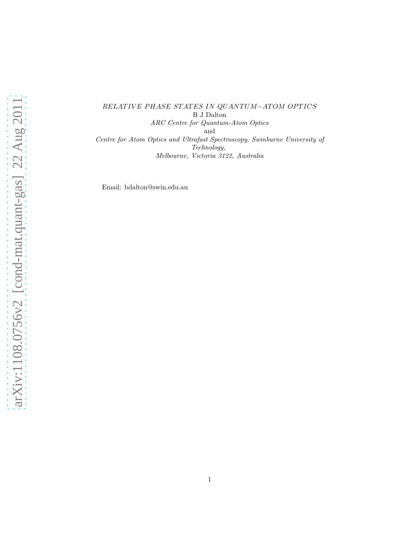## RELAT IVE PHASE STATES IN QUANTUM−ATOM OPTICS B J Dalton ARC Centre for Quantum-Atom Optics and Centre for Atom Optics and Ultrafast Spectroscopy, Swinburne University of Technology, Melbourne, Victoria 3122, Australia

Email: bdalton@swin.edu.au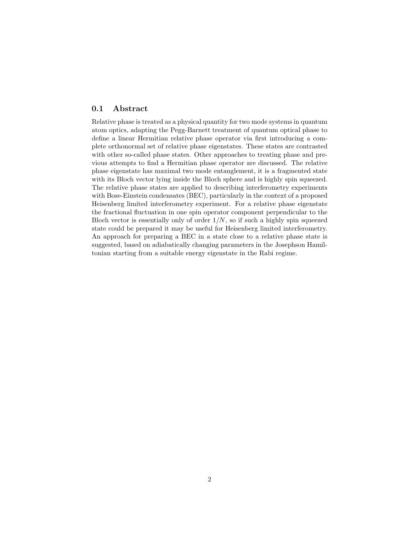## 0.1 Abstract

Relative phase is treated as a physical quantity for two mode systems in quantum atom optics, adapting the Pegg-Barnett treatment of quantum optical phase to define a linear Hermitian relative phase operator via first introducing a complete orthonormal set of relative phase eigenstates. These states are contrasted with other so-called phase states. Other approaches to treating phase and previous attempts to find a Hermitian phase operator are discussed. The relative phase eigenstate has maximal two mode entanglement, it is a fragmented state with its Bloch vector lying inside the Bloch sphere and is highly spin squeezed. The relative phase states are applied to describing interferometry experiments with Bose-Einstein condensates (BEC), particularly in the context of a proposed Heisenberg limited interferometry experiment. For a relative phase eigenstate the fractional fluctuation in one spin operator component perpendicular to the Bloch vector is essentially only of order  $1/N$ , so if such a highly spin squeezed state could be prepared it may be useful for Heisenberg limited interferometry. An approach for preparing a BEC in a state close to a relative phase state is suggested, based on adiabatically changing parameters in the Josephson Hamiltonian starting from a suitable energy eigenstate in the Rabi regime.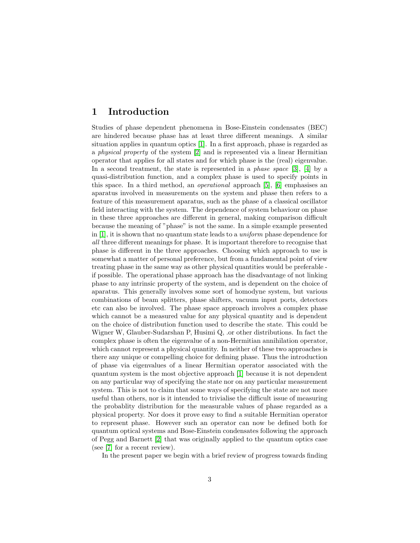# 1 Introduction

Studies of phase dependent phenomena in Bose-Einstein condensates (BEC) are hindered because phase has at least three different meanings. A similar situation applies in quantum optics [\[1\]](#page-20-0). In a first approach, phase is regarded as a physical property of the system [\[2\]](#page-20-1) and is represented via a linear Hermitian operator that applies for all states and for which phase is the (real) eigenvalue. In a second treatment, the state is represented in a *phase space* [\[3\]](#page-20-2), [\[4\]](#page-20-3) by a quasi-distribution function, and a complex phase is used to specify points in this space. In a third method, an operational approach [\[5\]](#page-20-4), [\[6\]](#page-20-5) emphasises an aparatus involved in measurements on the system and phase then refers to a feature of this measurement aparatus, such as the phase of a classical oscillator field interacting with the system. The dependence of system behaviour on phase in these three approaches are different in general, making comparison difficult because the meaning of "phase" is not the same. In a simple example presented in [\[1\]](#page-20-0), it is shown that no quantum state leads to a uniform phase dependence for all three different meanings for phase. It is important therefore to recognise that phase is different in the three approaches. Choosing which approach to use is somewhat a matter of personal preference, but from a fundamental point of view treating phase in the same way as other physical quantities would be preferable if possible. The operational phase approach has the disadvantage of not linking phase to any intrinsic property of the system, and is dependent on the choice of aparatus. This generally involves some sort of homodyne system, but various combinations of beam splitters, phase shifters, vacuum input ports, detectors etc can also be involved. The phase space approach involves a complex phase which cannot be a measured value for any physical quantity and is dependent on the choice of distribution function used to describe the state. This could be Wigner W, Glauber-Sudarshan P, Husimi Q, .or other distributions. In fact the complex phase is often the eigenvalue of a non-Hermitian annihilation operator, which cannot represent a physical quantity. In neither of these two approaches is there any unique or compelling choice for defining phase. Thus the introduction of phase via eigenvalues of a linear Hermitian operator associated with the quantum system is the most objective approach [\[1\]](#page-20-0) because it is not dependent on any particular way of specifying the state nor on any particular measurement system. This is not to claim that some ways of specifying the state are not more useful than others, nor is it intended to trivialise the difficult issue of measuring the probablity distribution for the measurable values of phase regarded as a physical property. Nor does it prove easy to find a suitable Hermitian operator to represent phase. However such an operator can now be defined both for quantum optical systems and Bose-Einstein condensates following the approach of Pegg and Barnett [\[2\]](#page-20-1) that was originally applied to the quantum optics case (see [\[7\]](#page-20-6) for a recent review).

In the present paper we begin with a brief review of progress towards finding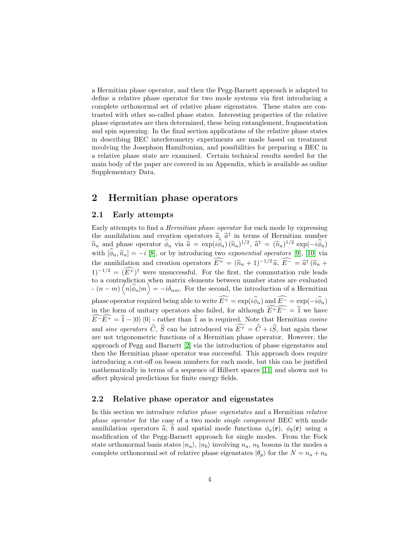a Hermitian phase operator, and then the Pegg-Barnett approach is adapted to define a relative phase operator for two mode systems via first introducing a complete orthonormal set of relative phase eigenstates. These states are contrasted with other so-called phase states. Interesting properties of the relative phase eigenstates are then determined, these being entanglement, fragmentation and spin squeezing. In the final section applications of the relative phase states in describing BEC interferometry experiments are made based on treatment involving the Josephson Hamiltonian, and possibilities for preparing a BEC in a relative phase state are examined. Certain technical results needed for the main body of the paper are covered in an Appendix, which is available as online Supplementary Data.

# 2 Hermitian phase operators

## 2.1 Early attempts

Early attempts to find a Hermitian phase operator for each mode by expressing the annihilation and creation operators  $\hat{a}$ ,  $\hat{a}^{\dagger}$  in terms of Hermitian number  $\hat{n}_a$  and phase operator  $\hat{\phi}_a$  via  $\hat{a} = \exp(i\hat{\phi}_a) (\hat{n}_a)^{1/2}, \hat{a}^\dagger = (\hat{n}_a)^{1/2} \exp(-i\hat{\phi}_a)$ with  $[\hat{\phi}_a, \hat{n}_a] = -i$  [\[8\]](#page-20-7), or by introducing two exponential operators [\[9\]](#page-20-8), [\[10\]](#page-20-9) via the annihilation and creation operators  $E^+ = (\hat{n}_a + 1)^{-1/2} \hat{a}, E^- = \hat{a}^{\dagger} (\hat{n}_a + \hat{n}_a)$  $(1)^{-1/2} = (E^+)^{\dagger}$  were unsuccessful. For the first, the commutation rule leads to a contradiction when matrix elements between number states are evaluated  $-\left(n-m\right)\left\langle n|\hat{\phi}_a|m\right\rangle = -i\delta_{nm}$ . For the second, the introduction of a Hermitian phase operator required being able to write  $\widehat{E^+} = \exp(i\widehat{\phi}_a)$  and  $\widehat{E^-} = \exp(-i\widehat{\phi}_a)$ in the form of unitary operators also failed, for although  $\widehat{E^+E^-} = \widehat{1}$  we have  $\widehat{E-E^+} = \widehat{1} - \vert 0 \rangle \langle 0 \vert$  - rather than  $\widehat{1}$  as is required. Note that Hermitian cosine and *sine operators*  $\widehat{C}$ ,  $\widehat{S}$  can be introduced via  $\widehat{E^+} = \widehat{C} + i\widehat{S}$ , but again these are not trigonometric functions of a Hermitian phase operator. However, the approach of Pegg and Barnett [\[2\]](#page-20-1) via the introduction of phase eigenstates and then the Hermitian phase operator was successful. This approach does require introducing a cut-off on boson numbers for each mode, but this can be justified mathematically in terms of a sequence of Hilbert spaces [\[11\]](#page-20-10) and shown not to affect physical predictions for finite energy fields.

## 2.2 Relative phase operator and eigenstates

In this section we introduce relative phase eigenstates and a Hermitian relative phase operator for the case of a two mode single component BEC with mode annihilation operators  $\hat{a}$ , b and spatial mode functions  $\phi_a(\mathbf{r})$ ,  $\phi_b(\mathbf{r})$  using a modification of the Pegg-Barnett approach for single modes. From the Fock state orthonormal basis states  $|n_a\rangle$ ,  $|n_b\rangle$  involving  $n_a$ ,  $n_b$  bosons in the modes a complete orthonormal set of relative phase eigenstates  $|\theta_p\rangle$  for the  $N = n_a + n_b$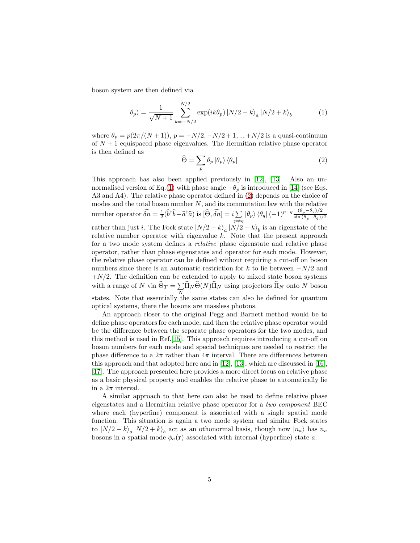boson system are then defined via

<span id="page-4-0"></span>
$$
|\theta_p\rangle = \frac{1}{\sqrt{N+1}} \sum_{k=-N/2}^{N/2} \exp(ik\theta_p) |N/2 - k\rangle_a |N/2 + k\rangle_b
$$
 (1)

where  $\theta_p = p(2\pi/(N+1)), p = -N/2, -N/2+1, ..., +N/2$  is a quasi-continuum of  $N + 1$  equispaced phase eigenvalues. The Hermitian relative phase operator is then defined as

<span id="page-4-1"></span>
$$
\widehat{\Theta} = \sum_{p} \theta_{p} \left| \theta_{p} \right\rangle \left\langle \theta_{p} \right| \tag{2}
$$

This approach has also been applied previously in [\[12\]](#page-20-11), [\[13\]](#page-20-12). Also an un-normalised version of Eq.[\(1\)](#page-4-0) with phase angle  $-\theta_p$  is introduced in [\[14\]](#page-20-13) (see Eqs. A3 and A4). The relative phase operator defined in [\(2\)](#page-4-1) depends on the choice of modes and the total boson number  $N$ , and its commutation law with the relative number operator  $\widehat{\delta n} = \frac{1}{2} (\widehat{b}^\dagger \widehat{b} - \widehat{a}^\dagger \widehat{a})$  is  $[\widehat{\Theta}, \widehat{\delta n}] = i \sum_{n \neq i}$  $\sum_{p\neq q} |\theta_p\rangle \langle \theta_q| \, (-1)^{p-q} \frac{(\theta_p-\theta_q)/2}{\sin{(\theta_p-\theta_q)}}$  $\sin (\theta_p-\theta_q)/2$ rather than just *i*. The Fock state  $|N/2 - k\rangle_a |N/2 + k\rangle_b$  is an eigenstate of the relative number operator with eigenvalue  $k$ . Note that the present approach for a two mode system defines a relative phase eigenstate and relative phase operator, rather than phase eigenstates and operator for each mode. However, the relative phase operator can be defined without requiring a cut-off on boson numbers since there is an automatic restriction for k to lie between  $-N/2$  and  $+N/2$ . The definition can be extended to apply to mixed state boson systems with a range of N via  $\widehat{\Theta}_T = \sum_{\sigma}$  $\sum_{N} \Pi_N \Theta(N) \Pi_N$  using projectors  $\Pi_N$  onto N boson states. Note that essentially the same states can also be defined for quantum optical systems, there the bosons are massless photons.

An approach closer to the original Pegg and Barnett method would be to define phase operators for each mode, and then the relative phase operator would be the difference between the separate phase operators for the two modes, and this method is used in Ref.[\[15\]](#page-20-14). This approach requires introducing a cut-off on boson numbers for each mode and special techniques are needed to restrict the phase difference to a  $2\pi$  rather than  $4\pi$  interval. There are differences between this approach and that adopted here and in [\[12\]](#page-20-11), [\[13\]](#page-20-12), which are discussed in [\[16\]](#page-20-15), [\[17\]](#page-20-16). The approach presented here provides a more direct focus on relative phase as a basic physical property and enables the relative phase to automatically lie in a  $2\pi$  interval.

A similar approach to that here can also be used to define relative phase eigenstates and a Hermitian relative phase operator for a two component BEC where each (hyperfine) component is associated with a single spatial mode function. This situation is again a two mode system and similar Fock states to  $|N/2 - k\rangle_a |N/2 + k\rangle_b$  act as an othonormal basis, though now  $|n_a\rangle$  has  $n_a$ bosons in a spatial mode  $\phi_a(\mathbf{r})$  associated with internal (hyperfine) state a.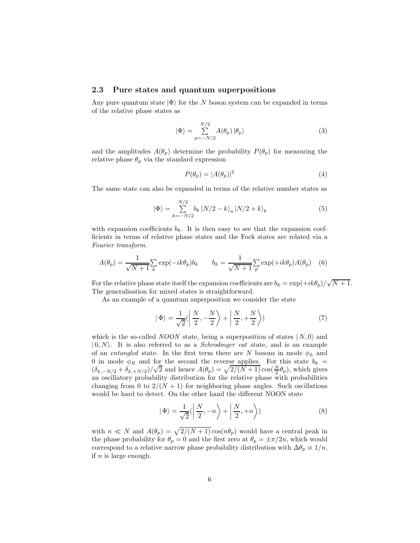#### 2.3 Pure states and quantum superpositions

Any pure quantum state  $|\Phi\rangle$  for the N boson system can be expanded in terms of the relative phase states as

<span id="page-5-0"></span>
$$
|\Phi\rangle = \sum_{p=-N/2}^{N/2} A(\theta_p) |\theta_p\rangle
$$
 (3)

and the amplitudes  $A(\theta_n)$  determine the probability  $P(\theta_n)$  for measuring the relative phase  $\theta_p$  via the standard expression

<span id="page-5-2"></span>
$$
P(\theta_p) = |A(\theta_p)|^2 \tag{4}
$$

The same state can also be expanded in terms of the relative number states as

<span id="page-5-1"></span>
$$
|\Phi\rangle = \sum_{k=-N/2}^{N/2} b_k |N/2 - k\rangle_a |N/2 + k\rangle_b
$$
 (5)

with expansion coefficients  $b_k$ . It is then easy to see that the expansion coefficients in terms of relative phase states and the Fock states are related via a Fourier transform.

<span id="page-5-3"></span>
$$
A(\theta_p) = \frac{1}{\sqrt{N+1}} \sum_k \exp(-ik\theta_p) b_k \qquad b_k = \frac{1}{\sqrt{N+1}} \sum_p \exp(+ik\theta_p) A(\theta_p) \quad (6)
$$

For the relative phase state itself the expansion coefficients are  $b_k = \exp(+ik\theta_p)/\sqrt{N+1}$ . The generalisation for mixed states is straightforward.

As an example of a quantum superposition we consider the state

$$
|\Phi\rangle = \frac{1}{\sqrt{2}} \left\langle \left| \frac{N}{2}, -\frac{N}{2} \right\rangle + \left| \frac{N}{2}, +\frac{N}{2} \right\rangle \right\rangle \tag{7}
$$

which is the so-called NOON state, being a superposition of states  $| N, 0 \rangle$  and  $(0, N)$ . It is also referred to as a *Schrodinger cat* state, and is an example of an entangled state. In the first term there are N bosons in mode  $\phi_L$  and 0 in mode  $\phi_R$  and for the second the reverse applies. For this state  $b_k =$  $(\delta_{k,-N/2} + \delta_{k,+N/2})/\sqrt{2}$  and hence  $A(\theta_p) = \sqrt{2/(N+1)} \cos(\frac{N}{2}\theta_p)$ , which gives an oscillatory probability distribution for the relative phase with probabilities changing from 0 to  $2/(N+1)$  for neighboring phase angles. Such oscillations would be hard to detect. On the other hand the different NOON state

$$
|\Phi\rangle = \frac{1}{\sqrt{2}} \left( \left| \frac{N}{2}, -n \right\rangle + \left| \frac{N}{2}, +n \right\rangle \right) \tag{8}
$$

with  $n \ll N$  and  $A(\theta_p) = \sqrt{2/(N+1)} \cos(n\theta_p)$  would have a central peak in the phase probability for  $\theta_p = 0$  and the first zero at  $\theta_p = \pm \pi/2n$ , which would correspond to a relative narrow phase probability distribution with  $\Delta\theta_p \propto 1/n$ , if  $n$  is large enough.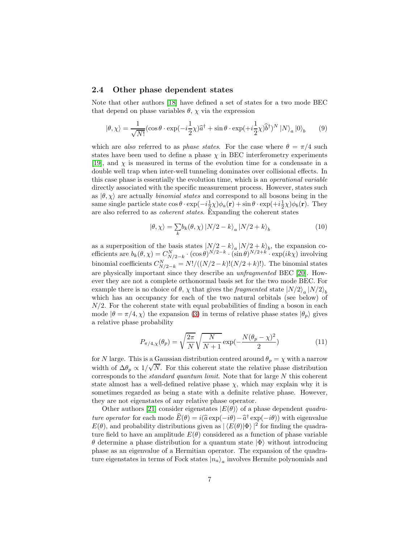#### 2.4 Other phase dependent states

Note that other authors [\[18\]](#page-20-17) have defined a set of states for a two mode BEC that depend on phase variables  $\theta$ ,  $\chi$  via the expression

$$
|\theta, \chi\rangle = \frac{1}{\sqrt{N!}} (\cos \theta \cdot \exp(-i\frac{1}{2}\chi)\hat{a}^{\dagger} + \sin \theta \cdot \exp(+i\frac{1}{2}\chi)\hat{b}^{\dagger})^{N} |N\rangle_{a} |0\rangle_{b} \qquad (9)
$$

which are also referred to as phase states. For the case where  $\theta = \pi/4$  such states have been used to define a phase  $\chi$  in BEC interferometry experiments [\[19\]](#page-20-18), and  $\chi$  is measured in terms of the evolution time for a condensate in a double well trap when inter-well tunneling dominates over collisional effects. In this case phase is essentially the evolution time, which is an operational variable directly associated with the specific measurement process. However, states such as  $|\theta, \chi\rangle$  are actually *binomial states* and correspond to all bosons being in the same single particle state  $\cos\theta \cdot \exp(-i\frac{1}{2}\chi)\phi_a(\mathbf{r}) + \sin\theta \cdot \exp(+i\frac{1}{2}\chi)\phi_b(\mathbf{r})$ . They are also referred to as coherent states. Expanding the coherent states

$$
|\theta, \chi\rangle = \sum_{k} b_{k}(\theta, \chi) |N/2 - k\rangle_{a} |N/2 + k\rangle_{b}
$$
 (10)

as a superposition of the basis states  $\left| N/2 - k \right\rangle_a \left| N/2 + k \right\rangle_b$ , the expansion coefficients are  $b_k(\theta, \chi) = C_{N/2-k}^N \cdot (\cos \theta)^{N/2-k} \cdot (\sin \theta)^{N/2+k} \cdot \exp(ik\chi)$  involving binomial coefficients  $C_{N/2-k}^N = N!/((N/2-k)!(N/2+k)!)$ . The binomial states are physically important since they describe an unfragmented BEC [\[20\]](#page-21-0). However they are not a complete orthonormal basis set for the two mode BEC. For example there is no choice of  $\theta$ ,  $\chi$  that gives the *fragmented* state  $|N/2\rangle_a |N/2\rangle_b$ which has an occupancy for each of the two natural orbitals (see below) of  $N/2$ . For the coherent state with equal probabilities of finding a boson in each mode  $|\theta = \pi/4$ ,  $\chi$  the expansion [\(3\)](#page-5-0) in terms of relative phase states  $|\theta_p\rangle$  gives a relative phase probability

$$
P_{\pi/4,\chi}(\theta_p) = \sqrt{\frac{2\pi}{N}} \sqrt{\frac{N}{N+1}} \exp(-\frac{N(\theta_p - \chi)^2}{2})
$$
(11)

for N large. This is a Gaussian distribution centred around  $\theta_p = \chi$  with a narrow width of  $\Delta\theta_p \propto 1/\sqrt{N}$ . For this coherent state the relative phase distribution corresponds to the *standard quantum limit*. Note that for large  $N$  this coherent state almost has a well-defined relative phase  $\chi$ , which may explain why it is sometimes regarded as being a state with a definite relative phase. However, they are not eigenstates of any relative phase operator.

Other authors [\[21\]](#page-21-1) consider eigenstates  $|E(\theta)\rangle$  of a phase dependent *quadra*ture operator for each mode  $\hat{E}(\theta) = i(\hat{a} \exp(-i\theta) - \hat{a}^\dagger \exp(-i\theta))$  with eigenvalue  $E(\theta)$ , and probability distributions given as  $| \langle E(\theta) | \Phi \rangle |^2$  for finding the quadrature field to have an amplitude  $E(\theta)$  considered as a function of phase variable  $θ$  determine a phase distribution for a quantum state  $|Φ\rangle$  without introducing phase as an eigenvalue of a Hermitian operator. The expansion of the quadrature eigenstates in terms of Fock states  $|n_a\rangle_a$  involves Hermite polynomials and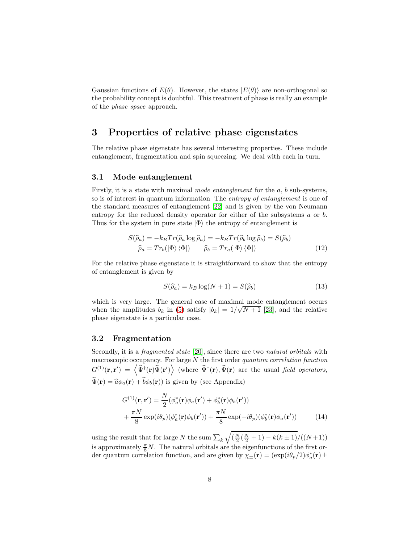Gaussian functions of  $E(\theta)$ . However, the states  $|E(\theta)\rangle$  are non-orthogonal so the probability concept is doubtful. This treatment of phase is really an example of the phase space approach.

## 3 Properties of relative phase eigenstates

The relative phase eigenstate has several interesting properties. These include entanglement, fragmentation and spin squeezing. We deal with each in turn.

#### 3.1 Mode entanglement

Firstly, it is a state with maximal mode entanglement for the a, b sub-systems, so is of interest in quantum information The entropy of entanglement is one of the standard measures of entanglement [\[22\]](#page-21-2) and is given by the von Neumann entropy for the reduced density operator for either of the subsystems a or b. Thus for the system in pure state  $|\Phi\rangle$  the entropy of entanglement is

$$
S(\hat{\rho}_a) = -k_B Tr(\hat{\rho}_a \log \hat{\rho}_a) = -k_B Tr(\hat{\rho}_b \log \hat{\rho}_b) = S(\hat{\rho}_b)
$$
  

$$
\hat{\rho}_a = Tr_b(|\Phi\rangle \langle \Phi|) \qquad \hat{\rho}_b = Tr_a(|\Phi\rangle \langle \Phi|)
$$
 (12)

For the relative phase eigenstate it is straightforward to show that the entropy of entanglement is given by

$$
S(\hat{\rho}_a) = k_B \log(N+1) = S(\hat{\rho}_b)
$$
\n(13)

which is very large. The general case of maximal mode entanglement occurs when the amplitudes  $b_k$  in [\(5\)](#page-5-1) satisfy  $|b_k| = 1/\sqrt{N+1}$  [\[23\]](#page-21-3), and the relative phase eigenstate is a particular case.

## 3.2 Fragmentation

Secondly, it is a *fragmented state* [\[20\]](#page-21-0), since there are two *natural orbitals* with macroscopic occupancy. For large  $N$  the first order quantum correlation function  $G^{(1)}(\mathbf{r},\mathbf{r}') = \langle \hat{\Psi}^{\dagger}(\mathbf{r}) \hat{\Psi}(\mathbf{r}') \rangle$  (where  $\hat{\Psi}^{\dagger}(\mathbf{r}), \hat{\Psi}(\mathbf{r})$  are the usual field operators,  $\widehat{\Psi}(\mathbf{r}) = \widehat{a}\phi_a(\mathbf{r}) + \widehat{b}\phi_b(\mathbf{r})$  is given by (see Appendix)

$$
G^{(1)}(\mathbf{r}, \mathbf{r}') = \frac{N}{2} (\phi_a^*(\mathbf{r})\phi_a(\mathbf{r}') + \phi_b^*(\mathbf{r})\phi_b(\mathbf{r}')) + \frac{\pi N}{8} \exp(i\theta_p) (\phi_a^*(\mathbf{r})\phi_b(\mathbf{r}')) + \frac{\pi N}{8} \exp(-i\theta_p) (\phi_b^*(\mathbf{r})\phi_a(\mathbf{r}'))
$$
(14)

using the result that for large  $N$  the sum  $\sum_k$  $\sqrt{\left(\frac{N}{2}(\frac{N}{2}+1)-k(k\pm 1)/(N+1)\right)}$ is approximately  $\frac{\pi}{8}N$ . The natural orbitals are the eigenfunctions of the first order quantum correlation function, and are given by  $\chi_{\pm}(\mathbf{r}) = (\exp(i\theta_p/2)\phi_a^*(\mathbf{r}) \pm \phi_b^*(\mathbf{r}))$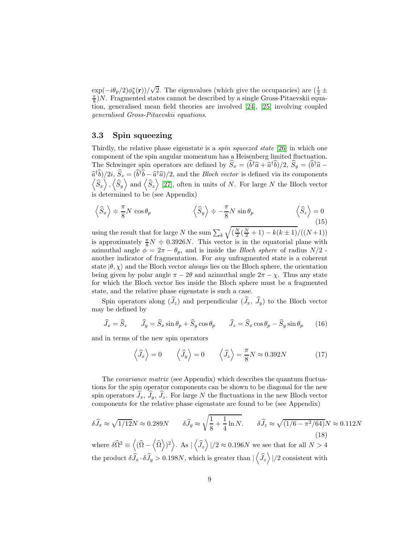$\exp(-i\theta_p/2)\phi_b^*(\mathbf{r}))/\sqrt{2}$ . The eigenvalues (which give the occupancies) are  $(\frac{1}{2} \pm \frac{1}{2})$  $\frac{\pi}{8}$ )N. Fragmented states cannot be described by a single Gross-Pitaevskii equation, generalised mean field theories are involved [\[24\]](#page-21-4), [\[25\]](#page-21-5) involving coupled generalised Gross-Pitaevskii equations.

## 3.3 Spin squeezing

Thirdly, the relative phase eigenstate is a *spin squeezed state* [\[26\]](#page-21-6) in which one component of the spin angular momentum has a Heisenberg limited fluctuation. The Schwinger spin operators are defined by  $\hat{S}_x = (b^{\dagger} \hat{a} + \hat{a}^{\dagger} b)/2$ ,  $\hat{S}_y = (b^{\dagger} \hat{a} - \hat{a}^{\dagger} \hat{b})/2$  $\hat{a}^{\dagger} \hat{b}$ /2*i*,  $\hat{S}_z = (\hat{b}^{\dagger} \hat{b} - \hat{a}^{\dagger} \hat{a})/2$ , and the *Bloch vector* is defined via its components  $\langle \hat{S}_x \rangle$ ,  $\langle \hat{S}_y \rangle$  and  $\langle \hat{S}_z \rangle$  [\[27\]](#page-21-7), often in units of N. For large N the Bloch vector is determined to be (see Appendix)

$$
\left\langle \widehat{S}_x \right\rangle \doteq \frac{\pi}{8} N \cos \theta_p \qquad \qquad \left\langle \widehat{S}_y \right\rangle \doteq -\frac{\pi}{8} N \sin \theta_p \qquad \left\langle \widehat{S}_z \right\rangle = 0 \tag{15}
$$

using the result that for large  $N$  the sum  $\sum_k$  $\sqrt{\left(\frac{N}{2}(\frac{N}{2}+1)-k(k\pm 1)/(N+1)\right)}$ is approximately  $\frac{\pi}{8}N = 0.3926N$ . This vector is in the equatorial plane with azimuthal angle  $\phi = 2\pi - \theta_p$ , and is inside the *Bloch sphere* of radius  $N/2$  another indicator of fragmentation. For any unfragmented state is a coherent state  $|\theta, \chi\rangle$  and the Bloch vector *always* lies on the Bloch sphere, the orientation being given by polar angle  $\pi - 2\theta$  and azimuthal angle  $2\pi - \chi$ . Thus any state for which the Bloch vector lies inside the Bloch sphere must be a fragmented state, and the relative phase eigenstate is such a case.

Spin operators along  $(\widehat{J}_z)$  and perpendicular  $(\widehat{J}_x, \widehat{J}_y)$  to the Bloch vector may be defined by

<span id="page-8-0"></span>
$$
\widehat{J}_x = \widehat{S}_z \qquad \widehat{J}_y = \widehat{S}_x \sin \theta_p + \widehat{S}_y \cos \theta_p \qquad \widehat{J}_z = \widehat{S}_x \cos \theta_p - \widehat{S}_y \sin \theta_p \qquad (16)
$$

and in terms of the new spin operators

$$
\langle \hat{J}_x \rangle = 0
$$
  $\langle \hat{J}_y \rangle = 0$   $\langle \hat{J}_z \rangle = \frac{\pi}{8} N \approx 0.392N$  (17)

The covariance matrix (see Appendix) which describes the quantum fluctuations for the spin operator components can be shown to be diagonal for the new spin operators  $\hat{J}_x$ ,  $\hat{J}_y$ ,  $\hat{J}_z$ . For large N the fluctuations in the new Bloch vector components for the relative phase eigenstate are found to be (see Appendix)

$$
\delta \widehat{J}_x \approx \sqrt{1/12} N \approx 0.289 N \qquad \delta \widehat{J}_y \approx \sqrt{\frac{1}{8} + \frac{1}{4} \ln N}.
$$
\n
$$
\delta \widehat{J}_z \approx \sqrt{(1/6 - \pi^2/64)} N \approx 0.112 N
$$
\n(18)

where  $\delta\widehat{\Omega}^2 \equiv \langle (\widehat{\Omega} - \langle \widehat{\Omega} \rangle)^2 \rangle$ . As  $|\langle \widehat{J}_z \rangle|/2 \approx 0.196N$  we see that for all  $N > 4$ the product  $\delta \hat{J}_x \cdot \delta \hat{J}_y > 0.198N$ , which is greater than  $|\left\langle \hat{J}_z \right\rangle|/2$  consistent with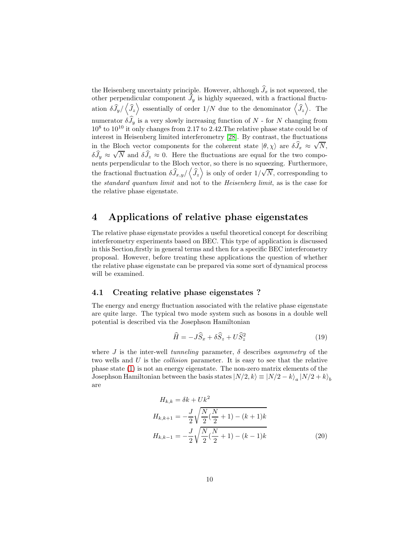the Heisenberg uncertainty principle. However, although  $\widehat{J}_x$  is not squeezed, the other perpendicular component  $\widehat{J}_y$  is highly squeezed, with a fractional fluctuation  $\delta \hat{J}_y / \langle \hat{J}_z \rangle$  essentially of order  $1/N$  due to the denominator  $\langle \hat{J}_z \rangle$ . The numerator  $\delta\widehat{J}_y$  is a very slowly increasing function of  $N$  - for  $N$  changing from  $10^8$  to  $10^{10}$  it only changes from 2.17 to 2.42. The relative phase state could be of interest in Heisenberg limited interferometry [\[28\]](#page-21-8). By contrast, the fluctuations in the Bloch vector components for the coherent state  $|\theta, \chi\rangle$  are  $\delta \hat{J}_x \approx \sqrt{N}$ ,  $\delta \widehat{J}_y \approx \sqrt{N}$  and  $\delta \widehat{J}_z \approx 0$ . Here the fluctuations are equal for the two components perpendicular to the Bloch vector, so there is no squeezing. Furthermore, the fractional fluctuation  $\delta \hat{J}_{x,y}/\langle \hat{J}_z \rangle$  is only of order  $1/\sqrt{N}$ , corresponding to the *standard quantum limit* and not to the *Heisenberg limit*, as is the case for the relative phase eigenstate.

# 4 Applications of relative phase eigenstates

The relative phase eigenstate provides a useful theoretical concept for describing interferometry experiments based on BEC. This type of application is discussed in this Section,firstly in general terms and then for a specific BEC interferometry proposal. However, before treating these applications the question of whether the relative phase eigenstate can be prepared via some sort of dynamical process will be examined.

#### 4.1 Creating relative phase eigenstates ?

The energy and energy fluctuation associated with the relative phase eigenstate are quite large. The typical two mode system such as bosons in a double well potential is described via the Josephson Hamiltonian

$$
\widehat{H} = -J\widehat{S}_x + \delta \widehat{S}_z + U\widehat{S}_z^2 \tag{19}
$$

where J is the inter-well tunneling parameter,  $\delta$  describes asymmetry of the two wells and U is the collision parameter. It is easy to see that the relative phase state [\(1\)](#page-4-0) is not an energy eigenstate. The non-zero matrix elements of the Josephson Hamiltonian between the basis states  $|N/2, k\rangle \equiv |N/2 - k\rangle_a |N/2 + k\rangle_b$ are

$$
H_{k,k} = \delta k + Uk^2
$$
  
\n
$$
H_{k,k+1} = -\frac{J}{2} \sqrt{\frac{N}{2} (\frac{N}{2} + 1) - (k+1)k}
$$
  
\n
$$
H_{k,k-1} = -\frac{J}{2} \sqrt{\frac{N}{2} (\frac{N}{2} + 1) - (k-1)k}
$$
\n(20)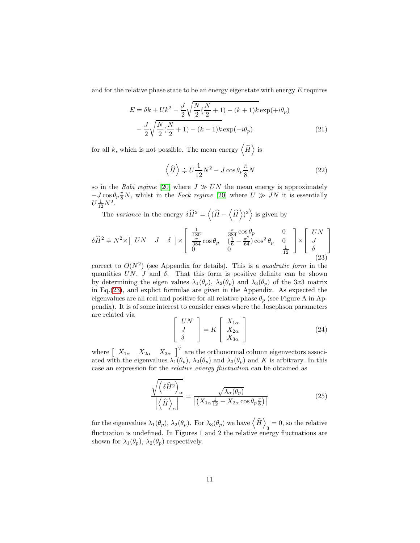and for the relative phase state to be an energy eigenstate with energy  $E$  requires

$$
E = \delta k + Uk^2 - \frac{J}{2}\sqrt{\frac{N}{2}(\frac{N}{2} + 1) - (k+1)k} \exp(+i\theta_p)
$$

$$
-\frac{J}{2}\sqrt{\frac{N}{2}(\frac{N}{2} + 1) - (k-1)k} \exp(-i\theta_p)
$$
(21)

for all k, which is not possible. The mean energy  $\left\langle \widehat{H} \right\rangle$  is

$$
\left\langle \widehat{H} \right\rangle \doteqdot U \frac{1}{12} N^2 - J \cos \theta_p \frac{\pi}{8} N \tag{22}
$$

so in the Rabi regime [\[20\]](#page-21-0) where  $J \gg UN$  the mean energy is approximately  $-J \cos \theta_p \frac{\pi}{8} N$ , whilst in the *Fock regime* [\[20\]](#page-21-0) where  $U \gg JN$  it is essentially  $U\frac{1}{12}N^2$ .

The variance in the energy  $\delta \widehat{H}^2 = \langle (\widehat{H} - \langle \widehat{H} \rangle)^2 \rangle$  is given by

<span id="page-10-0"></span>
$$
\delta \widehat{H}^2 \doteqdot N^2 \times \begin{bmatrix} UN & J & \delta \end{bmatrix} \times \begin{bmatrix} \frac{1}{180} & \frac{\pi}{384} \cos \theta_p & 0\\ \frac{\pi}{384} \cos \theta_p & \left(\frac{1}{6} - \frac{\pi^2}{64}\right) \cos^2 \theta_p & 0\\ 0 & 0 & \frac{1}{12} \end{bmatrix} \times \begin{bmatrix} UN\\ J\\ \delta \end{bmatrix} \tag{23}
$$

correct to  $O(N^2)$  (see Appendix for details). This is a quadratic form in the quantities  $UN, J$  and  $\delta$ . That this form is positive definite can be shown by determining the eigen values  $\lambda_1(\theta_p)$ ,  $\lambda_2(\theta_p)$  and  $\lambda_3(\theta_p)$  of the 3x3 matrix in Eq.[\(23\)](#page-10-0), and explict formulae are given in the Appendix. As expected the eigenvalues are all real and positive for all relative phase  $\theta_p$  (see Figure A in Appendix). It is of some interest to consider cases where the Josephson parameters are related via

<span id="page-10-1"></span>
$$
\begin{bmatrix}\nUN \\
J \\
\delta\n\end{bmatrix} = K \begin{bmatrix}\nX_{1\alpha} \\
X_{2\alpha} \\
X_{3\alpha}\n\end{bmatrix}
$$
\n(24)

where  $\begin{bmatrix} X_{1\alpha} & X_{2\alpha} & X_{3\alpha} \end{bmatrix}^T$  are the orthonormal column eigenvectors associated with the eigenvalues  $\lambda_1(\theta_p)$ ,  $\lambda_2(\theta_p)$  and  $\lambda_3(\theta_p)$  and K is arbitrary. In this case an expression for the relative energy fluctuation can be obtained as

$$
\frac{\sqrt{\left(\delta\hat{H}^2\right)_{\alpha}}}{\left|\left\langle\hat{H}\right\rangle_{\alpha}\right|} = \frac{\sqrt{\lambda_{\alpha}(\theta_p)}}{\left|\left(X_{1\alpha}\frac{1}{12} - X_{2\alpha}\cos\theta_p\frac{\pi}{8}\right)\right|}
$$
(25)

for the eigenvalues  $\lambda_1(\theta_p)$ ,  $\lambda_2(\theta_p)$ . For  $\lambda_3(\theta_p)$  we have  $\langle \hat{H} \rangle$  $3 = 0$ , so the relative fluctuation is undefined. In Figures 1 and 2 the relative energy fluctuations are shown for  $\lambda_1(\theta_p)$ ,  $\lambda_2(\theta_p)$  respectively.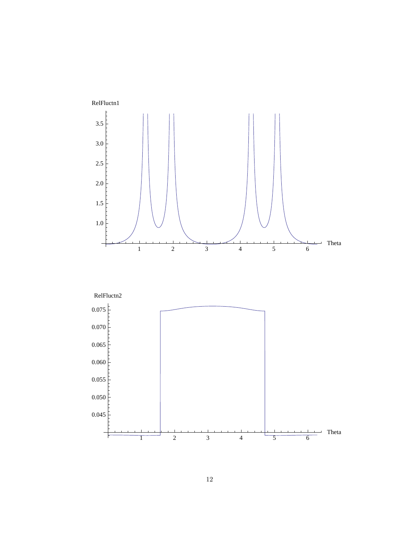

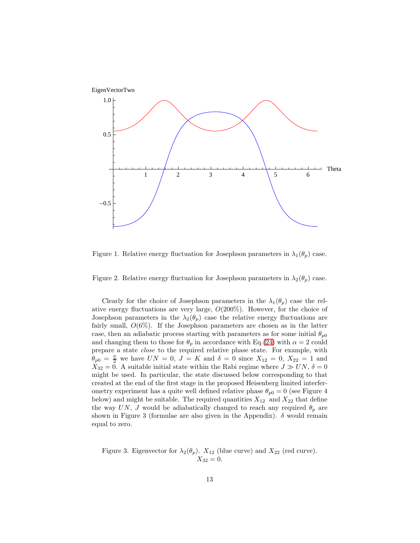

Figure 1. Relative energy fluctuation for Josephson parameters in  $\lambda_1(\theta_p)$  case.

Figure 2. Relative energy fluctuation for Josephson parameters in  $\lambda_2(\theta_p)$  case.

Clearly for the choice of Josephson parameters in the  $\lambda_1(\theta_p)$  case the relative energy fluctuations are very large,  $O(200\%)$ . However, for the choice of Josephson parameters in the  $\lambda_2(\theta_p)$  case the relative energy fluctuations are fairly small,  $O(6\%)$ . If the Josephson parameters are chosen as in the latter case, then an adiabatic process starting with parameters as for some initial  $\theta_{p0}$ and changing them to those for  $\theta_p$  in accordance with Eq.[\(24\)](#page-10-1) with  $\alpha = 2$  could prepare a state close to the required relative phase state. For example, with  $\theta_{p0} = \frac{\pi}{2}$  we have  $UN = 0, J = K$  and  $\delta = 0$  since  $X_{12} = 0, X_{22} = 1$  and  $X_{32} = 0$ . A suitable initial state within the Rabi regime where  $J \gg UN, \delta = 0$ might be used. In particular, the state discussed below corresponding to that created at the end of the first stage in the proposed Heisenberg limited interferometry experiment has a quite well defined relative phase  $\theta_{p0} = 0$  (see Figure 4 below) and might be suitable. The required quantities  $X_{12}$  and  $X_{22}$  that define the way UN, J would be adiabatically changed to reach any required  $\theta_p$  are shown in Figure 3 (formulae are also given in the Appendix).  $\delta$  would remain equal to zero.

Figure 3. Eigenvector for  $\lambda_2(\theta_p)$ .  $X_{12}$  (blue curve) and  $X_{22}$  (red curve).  $X_{32} = 0.$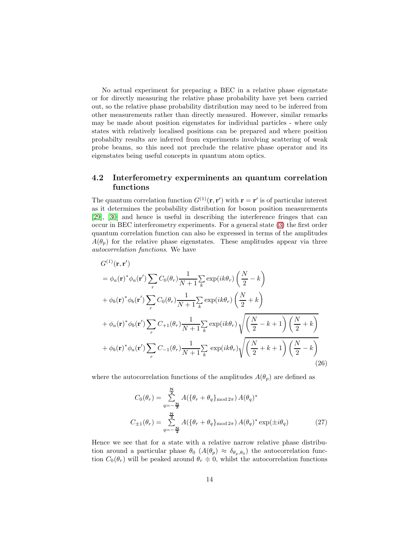No actual experiment for preparing a BEC in a relative phase eigenstate or for directly measuring the relative phase probability have yet been carried out, so the relative phase probability distribution may need to be inferred from other measurements rather than directly measured. However, similar remarks may be made about position eigenstates for individual particles - where only states with relatively localised positions can be prepared and where position probabilty results are inferred from experiments involving scattering of weak probe beams, so this need not preclude the relative phase operator and its eigenstates being useful concepts in quantum atom optics.

## 4.2 Interferometry experminents an quantum correlation functions

The quantum correlation function  $G^{(1)}(\mathbf{r}, \mathbf{r}')$  with  $\mathbf{r} = \mathbf{r}'$  is of particular interest as it determines the probability distribution for boson position measurements [\[29\]](#page-21-9), [\[30\]](#page-21-10) and hence is useful in describing the interference fringes that can occur in BEC interferometry experiments. For a general state [\(3\)](#page-5-0) the first order quantum correlation function can also be expressed in terms of the amplitudes  $A(\theta_p)$  for the relative phase eigenstates. These amplitudes appear via three autocorrelation functions. We have

$$
G^{(1)}(\mathbf{r}, \mathbf{r'})
$$
  
\n
$$
= \phi_a(\mathbf{r})^* \phi_a(\mathbf{r'}) \sum_r C_0(\theta_r) \frac{1}{N+1} \sum_k \exp(ik\theta_r) \left(\frac{N}{2} - k\right)
$$
  
\n
$$
+ \phi_b(\mathbf{r})^* \phi_b(\mathbf{r'}) \sum_r C_0(\theta_r) \frac{1}{N+1} \sum_k \exp(ik\theta_r) \left(\frac{N}{2} + k\right)
$$
  
\n
$$
+ \phi_a(\mathbf{r})^* \phi_b(\mathbf{r'}) \sum_r C_{+1}(\theta_r) \frac{1}{N+1} \sum_k \exp(ik\theta_r) \sqrt{\left(\frac{N}{2} - k + 1\right) \left(\frac{N}{2} + k\right)}
$$
  
\n
$$
+ \phi_b(\mathbf{r})^* \phi_a(\mathbf{r'}) \sum_r C_{-1}(\theta_r) \frac{1}{N+1} \sum_k \exp(ik\theta_r) \sqrt{\left(\frac{N}{2} + k + 1\right) \left(\frac{N}{2} - k\right)}
$$
  
\n(26)

where the autocorrelation functions of the amplitudes  $A(\theta_p)$  are defined as

$$
C_0(\theta_r) = \sum_{q=-\frac{N}{2}}^{\frac{N}{2}} A(\{\theta_r + \theta_q\}_{\text{mod }2\pi}) A(\theta_q)^*
$$
  

$$
C_{\pm 1}(\theta_r) = \sum_{q=-\frac{N}{2}}^{\frac{N}{2}} A(\{\theta_r + \theta_q\}_{\text{mod }2\pi}) A(\theta_q)^* \exp(\pm i\theta_q)
$$
(27)

Hence we see that for a state with a relative narrow relative phase distribution around a particular phase  $\theta_0$  ( $A(\theta_p) \approx \delta_{\theta_p, \theta_0}$ ) the autocorrelation function  $C_0(\theta_r)$  will be peaked around  $\theta_r \doteq 0$ , whilst the autocorrelation functions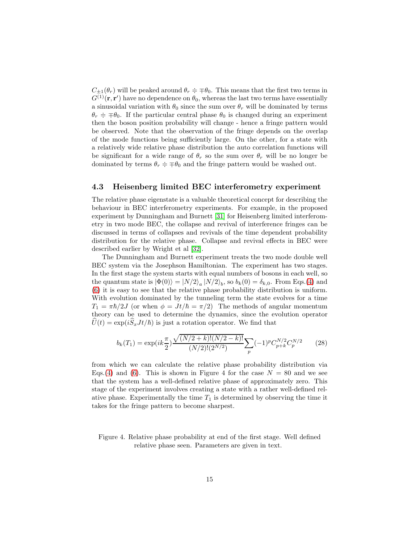$C_{\pm 1}(\theta_r)$  will be peaked around  $\theta_r \doteq \mp \theta_0$ . This means that the first two terms in  $G^{(1)}(\mathbf{r}, \mathbf{r}')$  have no dependence on  $\theta_0$ , whereas the last two terms have essentially a sinusoidal variation with  $\theta_0$  since the sum over  $\theta_r$  will be dominated by terms  $\theta_r = \pm \theta_0$ . If the particular central phase  $\theta_0$  is changed during an experiment then the boson position probability will change - hence a fringe pattern would be observed. Note that the observation of the fringe depends on the overlap of the mode functions being sufficiently large. On the other, for a state with a relatively wide relative phase distribution the auto correlation functions will be significant for a wide range of  $\theta_r$  so the sum over  $\theta_r$  will be no longer be dominated by terms  $\theta_r = \pm \theta_0$  and the fringe pattern would be washed out.

## 4.3 Heisenberg limited BEC interferometry experiment

The relative phase eigenstate is a valuable theoretical concept for describing the behaviour in BEC interferometry experiments. For example, in the proposed experiment by Dunningham and Burnett [\[31\]](#page-21-11) for Heisenberg limited interferometry in two mode BEC, the collapse and revival of interference fringes can be discussed in terms of collapses and revivals of the time dependent probability distribution for the relative phase. Collapse and revival effects in BEC were described earlier by Wright et al [\[32\]](#page-21-12).

The Dunningham and Burnett experiment treats the two mode double well BEC system via the Josephson Hamiltonian. The experiment has two stages. In the first stage the system starts with equal numbers of bosons in each well, so the quantum state is  $|\Phi(0)\rangle = |N/2\rangle_a |N/2\rangle_b$ , so  $b_k(0) = \delta_{k,0}$ . From Eqs.[\(4\)](#page-5-2) and [\(6\)](#page-5-3) it is easy to see that the relative phase probability distribution is uniform. With evolution dominated by the tunneling term the state evolves for a time  $T_1 = \pi \hbar/2J$  (or when  $\phi = Jt/\hbar = \pi/2$ ) The methods of angular momentum theory can be used to determine the dynamics, since the evolution operator  $\hat{U}(t) = \exp(i\hat{S}_x J t/\hbar)$  is just a rotation operator. We find that

$$
b_k(T_1) = \exp(ik\frac{\pi}{2}) \frac{\sqrt{(N/2 + k)!(N/2 - k)!}}{(N/2)!(2^{N/2})} \sum_p (-1)^p C_{p+k}^{N/2} C_p^{N/2}
$$
 (28)

from which we can calculate the relative phase probability distribution via Eqs.[\(4\)](#page-5-2) and [\(6\)](#page-5-3). This is shown in Figure 4 for the case  $N = 80$  and we see that the system has a well-defined relative phase of approximately zero. This stage of the experiment involves creating a state with a rather well-defined relative phase. Experimentally the time  $T_1$  is determined by observing the time it takes for the fringe pattern to become sharpest.

#### Figure 4. Relative phase probability at end of the first stage. Well defined relative phase seen. Parameters are given in text.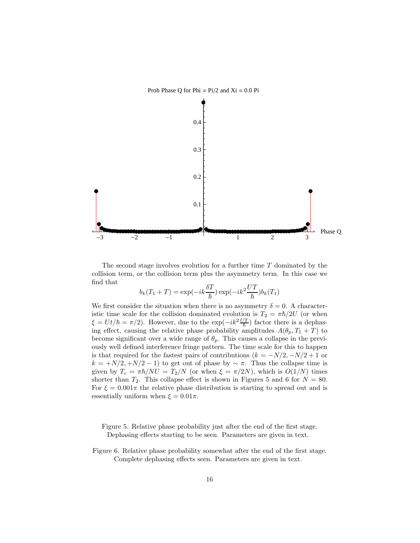

The second stage involves evolution for a further time T dominated by the collision term, or the collision term plus the asymmetry term. In this case we find that

$$
b_k(T_1 + T) = \exp(-ik\frac{\delta T}{\hbar})\exp(-ik^2\frac{UT}{\hbar})b_k(T_1)
$$

We first consider the situation when there is no asymmetry  $\delta = 0$ . A characteristic time scale for the collision dominated evolution is  $T_2 = \pi \hbar/2U$  (or when  $\xi = U t / \hbar = \pi/2$ . However, due to the exp $(-i k^2 \frac{U T}{\hbar})$  factor there is a dephasing effect, causing the relative phase probability amplitudes  $A(\theta_p, T_1 + T)$  to become significant over a wide range of  $\theta_p$ . This causes a collapse in the previously well defined interference fringe pattern. The time scale for this to happen is that required for the fastest pairs of contributions  $(k = -N/2, -N/2 + 1$  or  $k = \frac{N}{2}, \frac{N}{2} - 1$  to get out of phase by  $\sim \pi$ . Thus the collapse time is given by  $T_c = \pi \hbar/NU = T_2/N$  (or when  $\xi = \pi/2N$ ), which is  $O(1/N)$  times shorter than  $T_2$ . This collapse effect is shown in Figures 5 and 6 for  $N = 80$ . For  $\xi = 0.001\pi$  the relative phase distribution is starting to spread out and is essentially uniform when  $\xi = 0.01\pi$ .

Figure 5. Relative phase probability just after the end of the first stage. Dephasing effects starting to be seen. Parameters are given in text.

Figure 6. Relative phase probability somewhat after the end of the first stage. Complete dephasing effects seen. Parameters are given in text.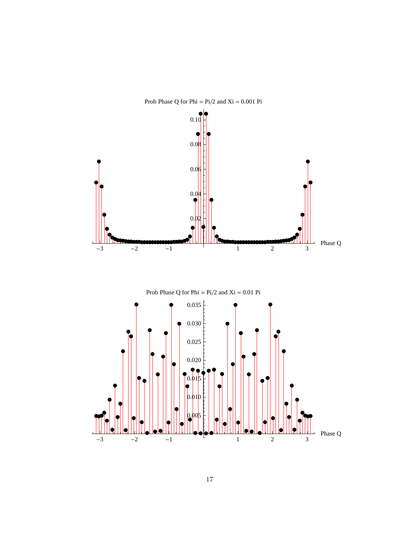

Prob Phase Q for Phi =  $Pi/2$  and  $Xi = 0.001$  Pi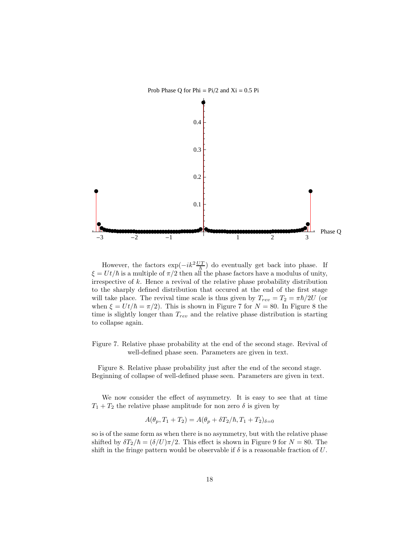

However, the factors  $\exp(-ik^2 \frac{UT}{\hbar})$  do eventually get back into phase. If  $\xi = U t/\hbar$  is a multiple of  $\pi/2$  then all the phase factors have a modulus of unity, irrespective of k. Hence a revival of the relative phase probability distribution to the sharply defined distribution that occured at the end of the first stage will take place. The revival time scale is thus given by  $T_{rev} = T_2 = \pi \hbar/2U$  (or when  $\xi = U t/\hbar = \pi/2$ . This is shown in Figure 7 for  $N = 80$ . In Figure 8 the time is slightly longer than  $T_{rev}$  and the relative phase distribution is starting to collapse again.

Figure 7. Relative phase probability at the end of the second stage. Revival of well-defined phase seen. Parameters are given in text.

Figure 8. Relative phase probability just after the end of the second stage. Beginning of collapse of well-defined phase seen. Parameters are given in text.

We now consider the effect of asymmetry. It is easy to see that at time  $T_1 + T_2$  the relative phase amplitude for non zero  $\delta$  is given by

$$
A(\theta_p, T_1 + T_2) = A(\theta_p + \delta T_2 / \hbar, T_1 + T_2)_{\delta=0}
$$

so is of the same form as when there is no asymmetry, but with the relative phase shifted by  $\delta T_2/\hbar = (\delta/U)\pi/2$ . This effect is shown in Figure 9 for  $N = 80$ . The shift in the fringe pattern would be observable if  $\delta$  is a reasonable fraction of U.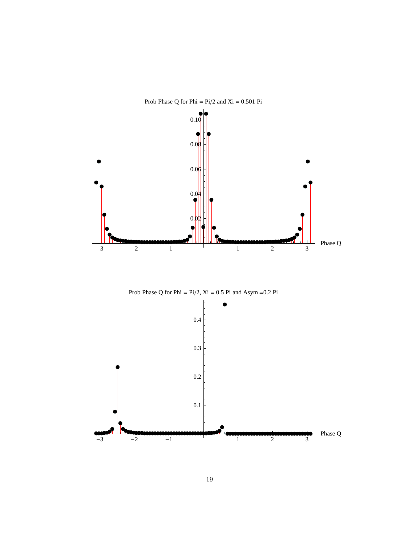

Prob Phase Q for Phi =  $Pi/2$  and  $Xi = 0.501$  Pi



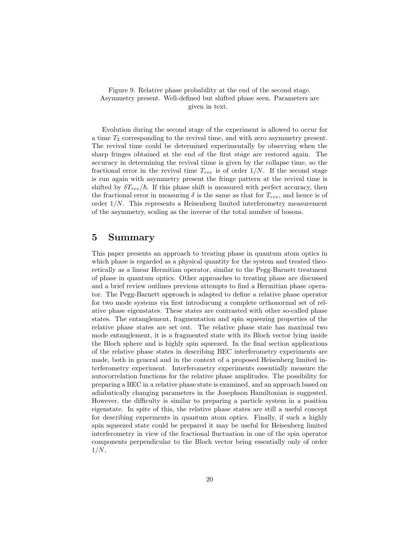Figure 9. Relative phase probability at the end of the second stage. Asymmetry present. Well-defined but shifted phase seen. Parameters are given in text.

Evolution during the second stage of the experiment is allowed to occur for a time  $T_2$  corresponding to the revival time, and with zero asymmetry present. The revival time could be determined experimentally by observing when the sharp fringes obtained at the end of the first stage are restored again. The accuracy in determining the revival tiime is given by the collapse time, so the fractional error in the revival time  $T_{rev}$  is of order  $1/N$ . If the second stage is run again with asymmetry present the fringe pattern at the revival time is shifted by  $\delta T_{rev}/\hbar$ . If this phase shift is measured with perfect accuracy, then the fractional error in measuring  $\delta$  is the same as that for  $T_{rev}$ , and hence is of order  $1/N$ . This represents a Heisenberg limited interferometry measurement of the asymmetry, scaling as the inverse of the total number of bosons.

# 5 Summary

This paper presents an approach to treating phase in quantum atom optics in which phase is regarded as a physical quantity for the system and treated theoretically as a linear Hermitian operator, similar to the Pegg-Barnett treatment of phase in quantum optics. Other approaches to treating phase are discussed and a brief review outlines previous attempts to find a Hermitian phase operator. The Pegg-Barnett approach is adapted to define a relative phase operator for two mode systems via first introducung a complete orthonormal set of relative phase eigenstates. These states are contrasted with other so-called phase states. The entanglement, fragmentation and spin squeezing properties of the relative phase states are set out. The relative phase state has maximal two mode entanglement, it is a fragmented state with its Bloch vector lying inside the Bloch sphere and is highly spin squeezed. In the final section applications of the relative phase states in describing BEC interferometry experiments are made, both in general and in the context of a proposed Heisenberg limited interferometry experiment. Interferometry experiments essentially measure the autocorrelation functions for the relative phase amplitudes. The possibility for preparing a BEC in a relative phase state is examined, and an approach based on adiabatically changing parameters in the Josephson Hamiltonian is suggested. However, the difficulty is similar to preparing a particle system in a position eigenstate. In spite of this, the relative phase states are still a useful concept for describing experments in quantum atom optics. Finally, if such a highly spin squeezed state could be prepared it may be useful for Heisenberg limited interferometry in view of the fractional fluctuation in one of the spin operator components perpendicular to the Bloch vector being essentially only of order  $1/N$ .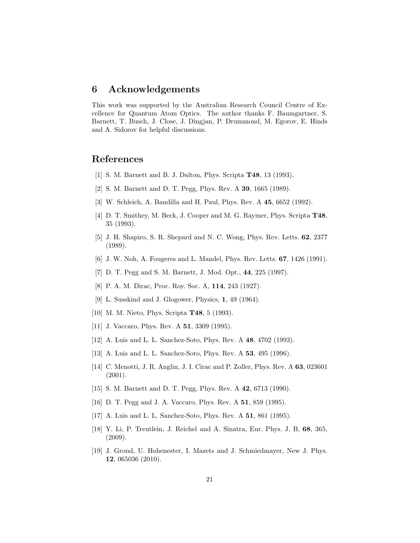# 6 Acknowledgements

This work was supported by the Australian Research Council Centre of Excellence for Quantum Atom Optics. The author thanks F. Baumgartner, S. Barnett, T. Busch, J. Close, J. Dingjan, P. Drummond, M. Egorov, E. Hinds and A. Sidorov for helpful discussions.

# <span id="page-20-0"></span>References

- <span id="page-20-1"></span>[1] S. M. Barnett and B. J. Dalton, Phys. Scripta T48, 13 (1993).
- <span id="page-20-2"></span>[2] S. M. Barnett and D. T. Pegg, Phys. Rev. A 39, 1665 (1989).
- <span id="page-20-3"></span>[3] W. Schleich, A. Bandilla and H. Paul, Phys. Rev. A 45, 6652 (1992).
- [4] D. T. Smithey, M. Beck, J. Cooper and M. G. Raymer, Phys. Scripta T48, 35 (1993).
- <span id="page-20-4"></span>[5] J. H. Shapiro, S. R. Shepard and N. C. Wong, Phys. Rev. Letts. 62, 2377 (1989).
- <span id="page-20-6"></span><span id="page-20-5"></span>[6] J. W. Noh, A. Fougeres and L. Mandel, Phys. Rev. Letts. 67, 1426 (1991).
- <span id="page-20-7"></span>[7] D. T. Pegg and S. M. Barnett, J. Mod. Opt., 44, 225 (1997).
- <span id="page-20-8"></span>[8] P. A. M. Dirac, Proc. Roy. Soc. A, 114, 243 (1927).
- <span id="page-20-9"></span>[9] L. Susskind and J. Glogower, Physics, 1, 49 (1964).
- <span id="page-20-10"></span>[10] M. M. Nieto, Phys. Scripta T48, 5 (1993).
- <span id="page-20-11"></span>[11] J. Vaccaro, Phys. Rev. A **51**, 3309 (1995).
- <span id="page-20-12"></span>[12] A. Luis and L. L. Sanchez-Soto, Phys. Rev. A 48, 4702 (1993).
- <span id="page-20-13"></span>[13] A. Luis and L. L. Sanchez-Soto, Phys. Rev. A 53, 495 (1996).
- [14] C. Menotti, J. R. Anglin, J. I. Cirac and P. Zoller, Phys. Rev. A 63, 023601 (2001).
- <span id="page-20-15"></span><span id="page-20-14"></span>[15] S. M. Barnett and D. T. Pegg, Phys. Rev. A 42, 6713 (1990).
- <span id="page-20-16"></span>[16] D. T. Pegg and J. A. Vaccaro, Phys. Rev. A 51, 859 (1995).
- <span id="page-20-17"></span>[17] A. Luis and L. L. Sanchez-Soto, Phys. Rev. A 51, 861 (1995).
- [18] Y. Li, P. Treutlein, J. Reichel and A. Sinatra, Eur. Phys. J. B, 68, 365, (2009).
- <span id="page-20-18"></span>[19] J. Grond, U. Hohenester, I. Mazets and J. Schmiedmayer, New J. Phys. 12, 065036 (2010).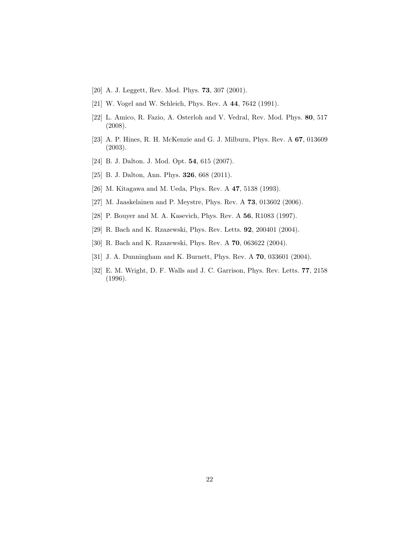- <span id="page-21-1"></span><span id="page-21-0"></span>[20] A. J. Leggett, Rev. Mod. Phys. 73, 307 (2001).
- <span id="page-21-2"></span>[21] W. Vogel and W. Schleich, Phys. Rev. A 44, 7642 (1991).
- [22] L. Amico, R. Fazio, A. Osterloh and V. Vedral, Rev. Mod. Phys. 80, 517 (2008).
- <span id="page-21-3"></span>[23] A. P. Hines, R. H. McKenzie and G. J. Milburn, Phys. Rev. A 67, 013609 (2003).
- <span id="page-21-5"></span><span id="page-21-4"></span>[24] B. J. Dalton. J. Mod. Opt. 54, 615 (2007).
- <span id="page-21-6"></span>[25] B. J. Dalton, Ann. Phys. **326**, 668 (2011).
- <span id="page-21-7"></span>[26] M. Kitagawa and M. Ueda, Phys. Rev. A 47, 5138 (1993).
- <span id="page-21-8"></span>[27] M. Jaaskelainen and P. Meystre, Phys. Rev. A 73, 013602 (2006).
- <span id="page-21-9"></span>[28] P. Bouyer and M. A. Kasevich, Phys. Rev. A 56, R1083 (1997).
- <span id="page-21-10"></span>[29] R. Bach and K. Rzazewski, Phys. Rev. Letts. **92**, 200401 (2004).
- <span id="page-21-11"></span>[30] R. Bach and K. Rzazewski, Phys. Rev. A 70, 063622 (2004).
- <span id="page-21-12"></span>[31] J. A. Dunningham and K. Burnett, Phys. Rev. A **70**, 033601 (2004).
- [32] E. M. Wright, D. F. Walls and J. C. Garrison, Phys. Rev. Letts. 77, 2158 (1996).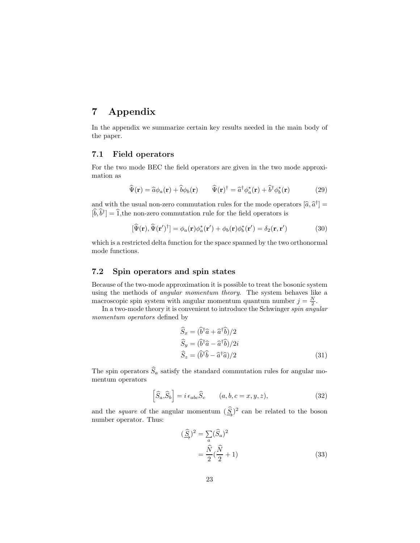# 7 Appendix

In the appendix we summarize certain key results needed in the main body of the paper.

## 7.1 Field operators

For the two mode BEC the field operators are given in the two mode approximation as

<span id="page-22-0"></span>
$$
\widehat{\Psi}(\mathbf{r}) = \widehat{a}\phi_a(\mathbf{r}) + \widehat{b}\phi_b(\mathbf{r}) \qquad \widehat{\Psi}(\mathbf{r})^\dagger = \widehat{a}^\dagger\phi_a^*(\mathbf{r}) + \widehat{b}^\dagger\phi_b^*(\mathbf{r}) \tag{29}
$$

and with the usual non-zero commutation rules for the mode operators  $[\hat{a}, \hat{a}^{\dagger}] = \hat{b} \hat{b}^{\dagger}$  $[\hat{b}, \hat{b}^{\dagger}] = \hat{1}$ , the non-zero commutation rule for the field operators is

$$
[\widehat{\Psi}(\mathbf{r}), \widehat{\Psi}(\mathbf{r}')^{\dagger}] = \phi_a(\mathbf{r})\phi_a^*(\mathbf{r}') + \phi_b(\mathbf{r})\phi_b^*(\mathbf{r}') = \delta_2(\mathbf{r}, \mathbf{r}')
$$
(30)

which is a restricted delta function for the space spanned by the two orthonormal mode functions.

## 7.2 Spin operators and spin states

Because of the two-mode approximation it is possible to treat the bosonic system using the methods of angular momentum theory. The system behaves like a macroscopic spin system with angular momentum quantum number  $j = \frac{N}{2}$ .

In a two-mode theory it is convenient to introduce the Schwinger spin angular momentum operators defined by

<span id="page-22-1"></span>
$$
\widehat{S}_x = (\widehat{b}^\dagger \widehat{a} + \widehat{a}^\dagger \widehat{b})/2 \n\widehat{S}_y = (\widehat{b}^\dagger \widehat{a} - \widehat{a}^\dagger \widehat{b})/2i \n\widehat{S}_z = (\widehat{b}^\dagger \widehat{b} - \widehat{a}^\dagger \widehat{a})/2
$$
\n(31)

The spin operators  $\widehat{S}_a$  satisfy the standard commutation rules for angular momentum operators

$$
\left[\widehat{S}_a,\widehat{S}_b\right] = i\,\epsilon_{abc}\widehat{S}_c \qquad (a,b,c=x,y,z),\tag{32}
$$

and the *square* of the angular momentum  $(\underline{\widehat{S}})^2$  can be related to the boson<br>number operator. Thus: number operator. Thus:

<span id="page-22-2"></span>
$$
(\widehat{\underline{S}})^2 = \sum_a (\widehat{S}_a)^2
$$
  
= 
$$
\frac{\widehat{N}}{2} (\frac{\widehat{N}}{2} + 1)
$$
 (33)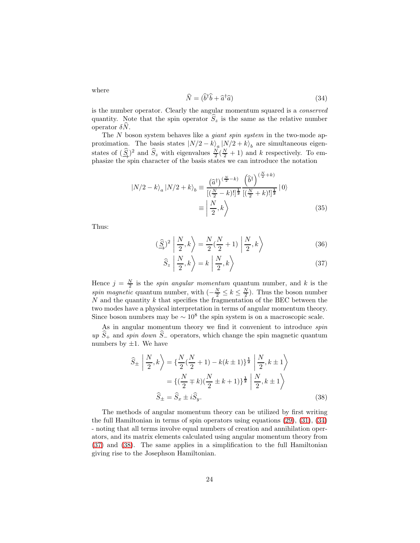<span id="page-23-0"></span>
$$
\widehat{N} = (\widehat{b}^{\dagger}\widehat{b} + \widehat{a}^{\dagger}\widehat{a})\tag{34}
$$

is the number operator. Clearly the angular momentum squared is a conserved quantity. Note that the spin operator  $S_z$  is the same as the relative number operator  $δN$ .

The N boson system behaves like a *giant spin system* in the two-mode approximation. The basis states  $|N/2 - k\rangle_a |N/2 + k\rangle_b$  are simultaneous eigenstates of  $(\widehat{S})^2$  and  $\widehat{S}_z$  with eigenvalues  $\frac{N}{2}(\frac{N}{2}+1)$  and k respectively. To em-<br>phasize the spin character of the basis states we can introduce the notation phasize the spin character of the basis states we can introduce the notation

$$
|N/2 - k\rangle_a |N/2 + k\rangle_b \equiv \frac{(\widehat{a}^{\dagger})^{\left(\frac{N}{2} - k\right)} }{\left[\left(\frac{N}{2} - k\right)!\right]^{\frac{1}{2}} } \frac{\left(\widehat{b}^{\dagger}\right)^{\left(\frac{N}{2} + k\right)} }{\left[\left(\frac{N}{2} + k\right)!\right]^{\frac{1}{2}}} |0\rangle
$$
  

$$
\equiv \left|\frac{N}{2}, k\right\rangle
$$
 (35)

Thus:

$$
\left(\frac{\widehat{S}}{\rightarrow}\right)^2 \left| \frac{N}{2}, k \right\rangle = \frac{N}{2} \left(\frac{N}{2} + 1\right) \left| \frac{N}{2}, k \right\rangle \tag{36}
$$

<span id="page-23-1"></span>
$$
\widehat{S}_z \left| \frac{N}{2}, k \right\rangle = k \left| \frac{N}{2}, k \right\rangle \tag{37}
$$

Hence  $j = \frac{N}{2}$  is the *spin angular momentum* quantum number, and k is the spin magnetic quantum number, with  $\left(-\frac{N}{2} \leq k \leq \frac{N}{2}\right)$ . Thus the boson number  $N$  and the quantity k that specifies the fragmentation of the BEC between the two modes have a physical interpretation in terms of angular momentum theory. Since boson numbers may be  $\sim 10^8$  the spin system is on a macroscopic scale.

As in angular momentum theory we find it convenient to introduce *spin* up  $\hat{S}_+$  and spin down  $\hat{S}_-$  operators, which change the spin magnetic quantum numbers by  $\pm 1$ . We have

<span id="page-23-2"></span>
$$
\widehat{S}_{\pm} \left| \frac{N}{2}, k \right\rangle = \left\{ \frac{N}{2} (\frac{N}{2} + 1) - k(k \pm 1) \right\}^{\frac{1}{2}} \left| \frac{N}{2}, k \pm 1 \right\rangle
$$
  
=  $\left\{ (\frac{N}{2} \mp k) (\frac{N}{2} \pm k + 1) \right\}^{\frac{1}{2}} \left| \frac{N}{2}, k \pm 1 \right\rangle$   
 $\widehat{S}_{\pm} = \widehat{S}_x \pm i \widehat{S}_y.$  (38)

The methods of angular momentum theory can be utilized by first writing the full Hamiltonian in terms of spin operators using equations [\(29\)](#page-22-0), [\(31\)](#page-22-1), [\(34\)](#page-23-0) - noting that all terms involve equal numbers of creation and annihilation operators, and its matrix elements calculated using angular momentum theory from [\(37\)](#page-23-1) and [\(38\)](#page-23-2). The same applies in a simplification to the full Hamiltonian giving rise to the Josephson Hamiltonian.

where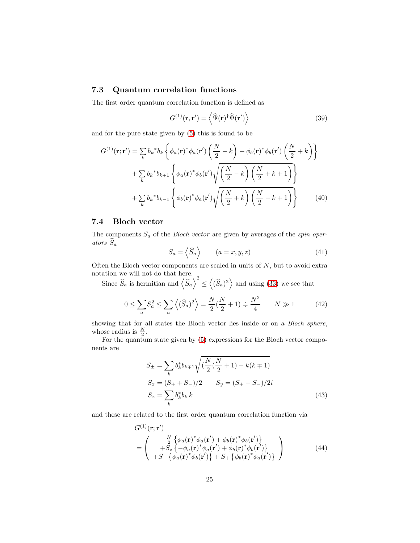## 7.3 Quantum correlation functions

The first order quantum correlation function is defined as

$$
G^{(1)}(\mathbf{r}, \mathbf{r}') = \left\langle \widehat{\Psi}(\mathbf{r})^{\dagger} \widehat{\Psi}(\mathbf{r}') \right\rangle \tag{39}
$$

and for the pure state given by [\(5\)](#page-5-1) this is found to be

$$
G^{(1)}(\mathbf{r};\mathbf{r}') = \sum_{k} b_{k} {}^{*}b_{k} \left\{ \phi_{a}(\mathbf{r}) {}^{*} \phi_{a}(\mathbf{r}') \left( \frac{N}{2} - k \right) + \phi_{b}(\mathbf{r}) {}^{*} \phi_{b}(\mathbf{r}') \left( \frac{N}{2} + k \right) \right\} + \sum_{k} b_{k} {}^{*}b_{k+1} \left\{ \phi_{a}(\mathbf{r}) {}^{*} \phi_{b}(\mathbf{r}') \sqrt{\left( \frac{N}{2} - k \right) \left( \frac{N}{2} + k + 1 \right)} \right\} + \sum_{k} b_{k} {}^{*}b_{k-1} \left\{ \phi_{b}(\mathbf{r}) {}^{*} \phi_{a}(\mathbf{r}') \sqrt{\left( \frac{N}{2} + k \right) \left( \frac{N}{2} - k + 1 \right)} \right\}
$$
(40)

## 7.4 Bloch vector

The components  $S_a$  of the *Bloch vector* are given by averages of the *spin oper*ators  $\widehat{S}_a$ 

$$
S_a = \left\langle \widehat{S}_a \right\rangle \qquad (a = x, y, z) \tag{41}
$$

Often the Bloch vector components are scaled in units of  $N$ , but to avoid extra notation we will not do that here.

Since  $\widehat{S}_a$  is hermitian and  $\langle \widehat{S}_a \rangle^2$ ≤  $\left\langle (\widehat{S}_a)^2 \right\rangle$  and using [\(33\)](#page-22-2) we see that

$$
0 \le \sum_{a} S_a^2 \le \sum_{a} \left\langle (\hat{S}_a)^2 \right\rangle = \frac{N}{2} (\frac{N}{2} + 1) \doteqdot \frac{N^2}{4} \qquad N \gg 1 \tag{42}
$$

showing that for all states the Bloch vector lies inside or on a Bloch sphere, whose radius is  $\frac{N}{2}$ .

For the quantum state given by [\(5\)](#page-5-1) expressions for the Bloch vector components are

$$
S_{\pm} = \sum_{k} b_{k}^{*} b_{k\mp 1} \sqrt{\left(\frac{N}{2}(\frac{N}{2} + 1) - k(k \mp 1)\right)}
$$
  
\n
$$
S_{x} = (S_{+} + S_{-})/2 \qquad S_{y} = (S_{+} - S_{-})/2i
$$
  
\n
$$
S_{z} = \sum_{k} b_{k}^{*} b_{k} k
$$
\n(43)

and these are related to the first order quantum correlation function via

$$
G^{(1)}(\mathbf{r}; \mathbf{r}')
$$
  
= 
$$
\begin{pmatrix} \frac{N}{2} \left\{ \phi_a(\mathbf{r})^* \phi_a(\mathbf{r}') + \phi_b(\mathbf{r})^* \phi_b(\mathbf{r}') \right\} \\ + S_z \left\{ -\phi_a(\mathbf{r})^* \phi_a(\mathbf{r}') + \phi_b(\mathbf{r})^* \phi_b(\mathbf{r}') \right\} \\ + S_z \left\{ \phi_a(\mathbf{r})^* \phi_b(\mathbf{r}') \right\} + S_z \left\{ \phi_b(\mathbf{r})^* \phi_a(\mathbf{r}') \right\} \end{pmatrix}
$$
(44)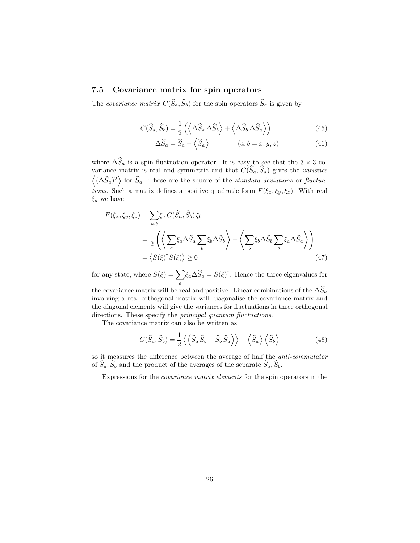## 7.5 Covariance matrix for spin operators

The covariance matrix  $C(\widehat{S}_a, \widehat{S}_b)$  for the spin operators  $\widehat{S}_a$  is given by

$$
C(\widehat{S}_a, \widehat{S}_b) = \frac{1}{2} \left( \left\langle \Delta \widehat{S}_a \, \Delta \widehat{S}_b \right\rangle + \left\langle \Delta \widehat{S}_b \, \Delta \widehat{S}_a \right\rangle \right) \tag{45}
$$

$$
\Delta\widehat{S}_a = \widehat{S}_a - \langle \widehat{S}_a \rangle \qquad (a, b = x, y, z) \tag{46}
$$

where  $\Delta S_a$  is a spin fluctuation operator. It is easy to see that the 3 × 3 covariance matrix is real and symmetric and that  $C(S_a, S_a)$  gives the variance  $\langle (\Delta \hat{S}_a)^2 \rangle$  for  $\hat{S}_a$ . These are the square of the *standard deviations* or *fluctua*tions. Such a matrix defines a positive quadratic form  $F(\xi_x, \xi_y, \xi_z)$ . With real  $\xi_a$  we have

$$
F(\xi_x, \xi_y, \xi_z) = \sum_{a,b} \xi_a C(\hat{S}_a, \hat{S}_b) \xi_b
$$
  
=  $\frac{1}{2} \left( \left\langle \sum_a \xi_a \Delta \hat{S}_a \sum_b \xi_b \Delta \hat{S}_b \right\rangle + \left\langle \sum_b \xi_b \Delta \hat{S}_b \sum_a \xi_a \Delta \hat{S}_a \right\rangle \right)$   
=  $\langle S(\xi)^{\dagger} S(\xi) \rangle \ge 0$  (47)

for any state, where  $S(\xi) = \sum$  $\sum_{a} \xi_a \Delta \hat{S}_a = S(\xi)^{\dagger}$ . Hence the three eigenvalues for

the covariance matrix will be real and positive. Linear combinations of the  $\Delta\widehat{S}_a$ involving a real orthogonal matrix will diagonalise the covariance matrix and the diagonal elements will give the variances for fluctuations in three orthogonal directions. These specify the *principal quantum fluctuations*.

The covariance matrix can also be written as

$$
C(\widehat{S}_a, \widehat{S}_b) = \frac{1}{2} \left\langle \left( \widehat{S}_a \,\widehat{S}_b + \widehat{S}_b \,\widehat{S}_a \right) \right\rangle - \left\langle \widehat{S}_a \right\rangle \left\langle \widehat{S}_b \right\rangle \tag{48}
$$

so it measures the difference between the average of half the anti-commutator of  $\widehat{S}_a$ ,  $\widehat{S}_b$  and the product of the averages of the separate  $\widehat{S}_a$ ,  $\widehat{S}_b$ .

Expressions for the covariance matrix elements for the spin operators in the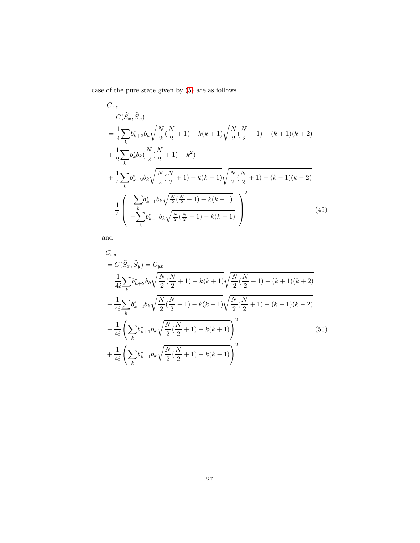case of the pure state given by [\(5\)](#page-5-1) are as follows.

$$
C_{xx}
$$
  
=  $C(\hat{S}_x, \hat{S}_x)$   
=  $\frac{1}{4} \sum_{k} b_{k+2}^* b_k \sqrt{\frac{N}{2} (\frac{N}{2} + 1) - k(k+1)} \sqrt{\frac{N}{2} (\frac{N}{2} + 1) - (k+1)(k+2)}$   
+  $\frac{1}{2} \sum_{k} b_k^* b_k (\frac{N}{2} (\frac{N}{2} + 1) - k^2)$   
+  $\frac{1}{4} \sum_{k} b_{k-2}^* b_k \sqrt{\frac{N}{2} (\frac{N}{2} + 1) - k(k-1)} \sqrt{\frac{N}{2} (\frac{N}{2} + 1) - (k-1)(k-2)}$   
-  $\frac{1}{4} \left( \sum_{k} b_{k+1}^* b_k \sqrt{\frac{N}{2} (\frac{N}{2} + 1) - k(k+1)} \right)^2$  (49)

and

$$
C_{xy}
$$
  
=  $C(\hat{S}_x, \hat{S}_y) = C_{yx}$   
=  $\frac{1}{4i} \sum_k b_{k+2}^* b_k \sqrt{\frac{N}{2} (\frac{N}{2} + 1) - k(k+1)} \sqrt{\frac{N}{2} (\frac{N}{2} + 1) - (k+1)(k+2)}$   

$$
- \frac{1}{4i} \sum_k b_{k-2}^* b_k \sqrt{\frac{N}{2} (\frac{N}{2} + 1) - k(k-1)} \sqrt{\frac{N}{2} (\frac{N}{2} + 1) - (k-1)(k-2)}
$$
  

$$
- \frac{1}{4i} \left( \sum_k b_{k+1}^* b_k \sqrt{\frac{N}{2} (\frac{N}{2} + 1) - k(k+1)} \right)^2
$$
  
+  $\frac{1}{4i} \left( \sum_k b_{k-1}^* b_k \sqrt{\frac{N}{2} (\frac{N}{2} + 1) - k(k-1)} \right)^2$  (50)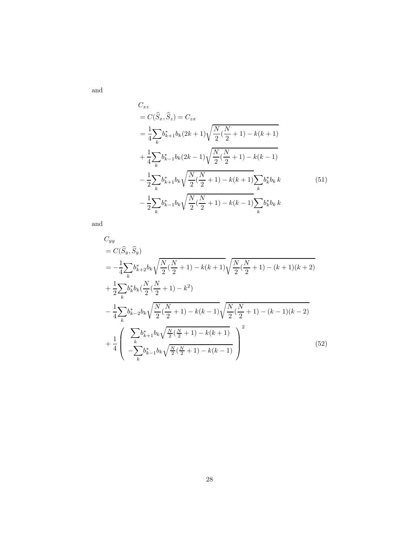and

$$
C_{xz} = C(\hat{S}_x, \hat{S}_z) = C_{zx}
$$
  
=  $\frac{1}{4} \sum_k b_{k+1}^* b_k (2k+1) \sqrt{\frac{N}{2} (\frac{N}{2} + 1)} - k(k+1)$   
+  $\frac{1}{4} \sum_k b_{k-1}^* b_k (2k-1) \sqrt{\frac{N}{2} (\frac{N}{2} + 1)} - k(k-1)$   
-  $\frac{1}{2} \sum_k b_{k+1}^* b_k \sqrt{\frac{N}{2} (\frac{N}{2} + 1)} - k(k+1) \sum_k b_k^* b_k k$  (51)  
-  $\frac{1}{2} \sum_k b_{k-1}^* b_k \sqrt{\frac{N}{2} (\frac{N}{2} + 1)} - k(k-1) \sum_k b_k^* b_k k$ 

and

$$
C_{yy} = C(\hat{S}_y, \hat{S}_y)
$$
  
=  $-\frac{1}{4} \sum_k b_{k+2}^* b_k \sqrt{\frac{N}{2} (\frac{N}{2} + 1) - k(k+1)} \sqrt{\frac{N}{2} (\frac{N}{2} + 1) - (k+1)(k+2)}$   
+  $\frac{1}{2} \sum_k b_k^* b_k (\frac{N}{2} (\frac{N}{2} + 1) - k^2)$   
 $-\frac{1}{4} \sum_k b_{k-2}^* b_k \sqrt{\frac{N}{2} (\frac{N}{2} + 1) - k(k-1)} \sqrt{\frac{N}{2} (\frac{N}{2} + 1) - (k-1)(k-2)}$   
+  $\frac{1}{4} \left( \sum_k b_{k+1}^* b_k \sqrt{\frac{N}{2} (\frac{N}{2} + 1) - k(k+1)} \right)^2$   
 $+\frac{1}{4} \left( -\sum_k b_{k-1}^* b_k \sqrt{\frac{N}{2} (\frac{N}{2} + 1) - k(k-1)} \right)^2$  (52)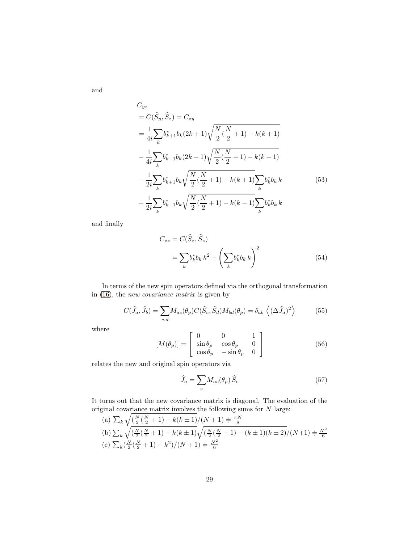and

$$
C_{yz}
$$
  
=  $C(\hat{S}_y, \hat{S}_z) = C_{zy}$   
=  $\frac{1}{4i} \sum_k b_{k+1}^* b_k (2k+1) \sqrt{\frac{N}{2} (\frac{N}{2} + 1) - k(k+1)}$   
 $- \frac{1}{4i} \sum_k b_{k-1}^* b_k (2k-1) \sqrt{\frac{N}{2} (\frac{N}{2} + 1) - k(k-1)}$   
 $- \frac{1}{2i} \sum_k b_{k+1}^* b_k \sqrt{\frac{N}{2} (\frac{N}{2} + 1) - k(k+1)} \sum_k b_k^* b_k k$  (53)  
 $+ \frac{1}{2i} \sum_k b_{k-1}^* b_k \sqrt{\frac{N}{2} (\frac{N}{2} + 1) - k(k-1)} \sum_k b_k^* b_k k$ 

and finally

$$
C_{zz} = C(\widehat{S}_z, \widehat{S}_z)
$$
  
= 
$$
\sum_k b_k^* b_k k^2 - \left(\sum_k b_k^* b_k k\right)^2
$$
 (54)

In terms of the new spin operators defined via the orthogonal transformation in [\(16\)](#page-8-0), the new covariance matrix is given by

$$
C(\widehat{J}_a, \widehat{J}_b) = \sum_{c,d} M_{ac}(\theta_p) C(\widehat{S}_c, \widehat{S}_d) M_{bd}(\theta_p) = \delta_{ab} \left\langle (\Delta \widehat{J}_a)^2 \right\rangle \tag{55}
$$

where

$$
[M(\theta_p)] = \begin{bmatrix} 0 & 0 & 1 \\ \sin \theta_p & \cos \theta_p & 0 \\ \cos \theta_p & -\sin \theta_p & 0 \end{bmatrix}
$$
 (56)

relates the new and original spin operators via

<span id="page-28-0"></span>
$$
\widehat{J}_a = \sum_c M_{ac}(\theta_p) \widehat{S}_c \tag{57}
$$

It turns out that the new covariance matrix is diagonal. The evaluation of the original covariance matrix involves the following sums for  $N$  large:

(a) 
$$
\sum_{k} \sqrt{\left(\frac{N}{2}\left(\frac{N}{2}+1\right)-k(k\pm 1)/\left(N+1\right)\right)} = \frac{\pi N}{8}
$$
  
\n(b)  $\sum_{k} \sqrt{\left(\frac{N}{2}\left(\frac{N}{2}+1\right)-k(k\pm 1)\right)} \sqrt{\left(\frac{N}{2}\left(\frac{N}{2}+1\right)-(k\pm 1)(k\pm 2)/(N+1)\right)} = \frac{N^2}{6}$   
\n(c)  $\sum_{k} \left(\frac{N}{2}\left(\frac{N}{2}+1\right)-k^2\right)/(N+1) = \frac{N^2}{6}$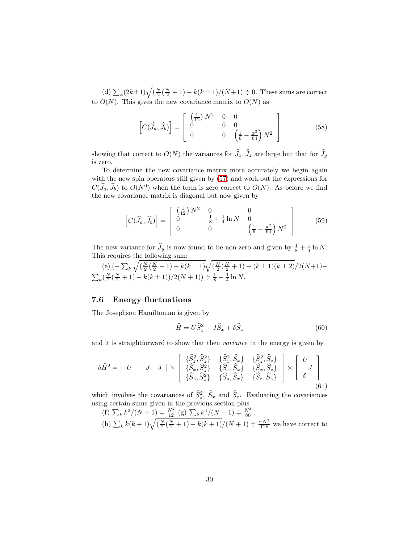(d)  $\sum_{k} (2k+1)\sqrt{\left(\frac{N}{2}(\frac{N}{2}+1) - k(k+1)/(N+1)}\right)} = 0$ . These sums are correct to  $O(N)$ . This gives the new covariance matrix to  $O(N)$  as

$$
\[C(\widehat{J}_a, \widehat{J}_b)\] = \begin{bmatrix} \left(\frac{1}{12}\right)N^2 & 0 & 0\\ 0 & 0 & 0\\ 0 & 0 & \left(\frac{1}{6} - \frac{\pi^2}{64}\right)N^2 \end{bmatrix} \tag{58}
$$

showing that correct to  $O(N)$  the variances for  $\widehat{J}_x, \widehat{J}_z$  are large but that for  $\widehat{J}_y$ is zero.

To determine the new covariance matrix more accurately we begin again with the new spin operators still given by  $(57)$  and work out the expressions for  $C(\tilde{J}_a, \tilde{J}_b)$  to  $O(N^0)$  when the term is zero correct to  $O(N)$ . As before we find the new covariance matrix is diagonal but now given by

$$
\[C(\widehat{J}_a, \widehat{J}_b)\] = \begin{bmatrix} \left(\frac{1}{12}\right)N^2 & 0 & 0\\ 0 & \frac{1}{8} + \frac{1}{4}\ln N & 0\\ 0 & 0 & \left(\frac{1}{6} - \frac{\pi^2}{64}\right)N^2 \end{bmatrix} \tag{59}
$$

The new variance for  $\hat{J}_y$  is now found to be non-zero and given by  $\frac{1}{8} + \frac{1}{4} \ln N$ . This requires the following sum:

(e)  $\left(-\sum_{k=1}^{n} x_{k}\right)$  $\sqrt{\left(\frac{N}{2}(\frac{N}{2}+1) - k(k\pm 1)\right)}\sqrt{(\frac{N}{2}(\frac{N}{2}+1) - (k\pm 1)(k\pm 2)})/2(N+1)+$  $\sum_{k} \left( \frac{N}{2} \left( \frac{N}{2} + 1 \right) - k(k \pm 1) \right) / 2(N + 1) \right) \doteq \frac{1}{8} + \frac{1}{4} \ln N.$ 

## 7.6 Energy fluctuations

The Josephson Hamiltonian is given by

$$
\widehat{H} = U\widehat{S}_z^2 - J\widehat{S}_x + \delta\widehat{S}_z \tag{60}
$$

and it is straightforward to show that then variance in the energy is given by

$$
\delta \widehat{H}^2 = \begin{bmatrix} U & -J & \delta \end{bmatrix} \times \begin{bmatrix} \{\widehat{S}_z^2, \widehat{S}_z^2\} & \{\widehat{S}_z^2, \widehat{S}_x\} & \{\widehat{S}_z^2, \widehat{S}_z\} \\ \{\widehat{S}_x, \widehat{S}_z^2\} & \{\widehat{S}_x, \widehat{S}_x\} & \{\widehat{S}_x, \widehat{S}_z\} \\ \{\widehat{S}_z, \widehat{S}_z^2\} & \{\widehat{S}_z, \widehat{S}_x\} & \{\widehat{S}_z, \widehat{S}_z\} \end{bmatrix} \times \begin{bmatrix} U \\ -J \\ \delta \end{bmatrix}
$$
(61)

which involves the covariances of  $\hat{S}_z^2$ ,  $\hat{S}_x$  and  $\hat{S}_z$ . Evaluating the covariances using certain sums given in the previous section plus

(f) 
$$
\sum_k k^2/(N+1) \doteq \frac{N^2}{12} (g) \sum_k k^4/(N+1) \doteq \frac{N^3}{80}
$$
  
(h)  $\sum_k k(k+1) \sqrt{\left(\frac{N}{2}(\frac{N}{2}+1) - k(k+1)/(N+1) \right)} \doteq \frac{\pi N^3}{128}$  we have correct to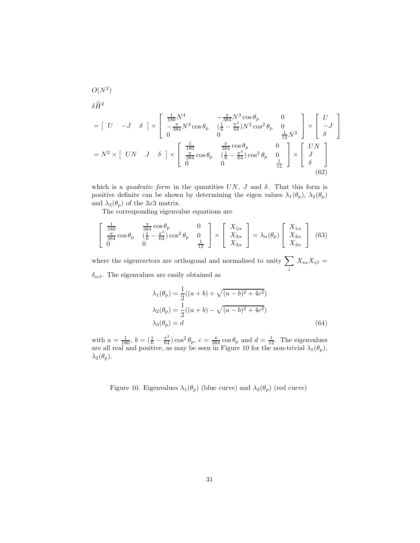$$
\delta \hat{H}^{2}
$$
\n
$$
= \begin{bmatrix} U & -J & \delta \end{bmatrix} \times \begin{bmatrix} \frac{1}{180} N^{4} & -\frac{\pi}{384} N^{3} \cos \theta_{p} & 0 \\ -\frac{\pi}{384} N^{3} \cos \theta_{p} & (\frac{1}{6} - \frac{\pi^{2}}{64}) N^{2} \cos^{2} \theta_{p} & 0 \\ 0 & 0 & \frac{1}{12} N^{2} \end{bmatrix} \times \begin{bmatrix} U \\ -J \\ \delta \end{bmatrix}
$$
\n
$$
= N^{2} \times \begin{bmatrix} UN & J & \delta \end{bmatrix} \times \begin{bmatrix} \frac{1}{180} & \frac{\pi}{384} \cos \theta_{p} & 0 \\ \frac{\pi}{384} \cos \theta_{p} & (\frac{1}{6} - \frac{\pi^{2}}{64}) \cos^{2} \theta_{p} & 0 \\ 0 & 0 & \frac{1}{12} \end{bmatrix} \times \begin{bmatrix} UN \\ J \\ \delta \end{bmatrix}
$$
\n(62)

which is a quadratic form in the quantities  $UN, J$  and  $\delta$ . That this form is positive definite can be shown by determining the eigen values  $\lambda_1(\theta_p)$ ,  $\lambda_2(\theta_p)$ and  $\lambda_3(\theta_p)$  of the 3x3 matrix.

The corresponding eigenvalue equations are

$$
\begin{bmatrix}\n\frac{1}{180} & \frac{\pi}{384} \cos \theta_p & 0 \\
\frac{\pi}{384} \cos \theta_p & (\frac{1}{6} - \frac{\pi^2}{64}) \cos^2 \theta_p & 0 \\
0 & 0 & \frac{1}{12}\n\end{bmatrix}\n\times\n\begin{bmatrix}\nX_{1\alpha} \\
X_{2\alpha} \\
X_{3\alpha}\n\end{bmatrix} = \lambda_\alpha(\theta_p) \begin{bmatrix}\nX_{1\alpha} \\
X_{2\alpha} \\
X_{3\alpha}\n\end{bmatrix} (63)
$$

where the eigenvectors are orthogonal and normalised to unity  $\sum$ i  $X_{i\alpha}X_{i\beta} =$  $\delta_{\alpha\beta}$ . The eigenvalues are easily obtained as

$$
\lambda_1(\theta_p) = \frac{1}{2}((a+b) + \sqrt{(a-b)^2 + 4c^2})
$$
  
\n
$$
\lambda_2(\theta_p) = \frac{1}{2}((a+b) - \sqrt{(a-b)^2 + 4c^2})
$$
  
\n
$$
\lambda_3(\theta_p) = d
$$
\n(64)

with  $a = \frac{1}{180}$ ,  $b = (\frac{1}{6} - \frac{\pi^2}{64}) \cos^2 \theta_p$ ,  $c = \frac{\pi}{384} \cos \theta_p$  and  $d = \frac{1}{12}$ . The eigenvalues are all real and positive, as may be seen in Figure 10 for the non-trivial  $\lambda_1(\theta_p)$ ,  $\lambda_2(\theta_p)$ .

Figure 10. Eigenvalues  $\lambda_1(\theta_p)$  (blue curve) and  $\lambda_2(\theta_p)$  (red curve)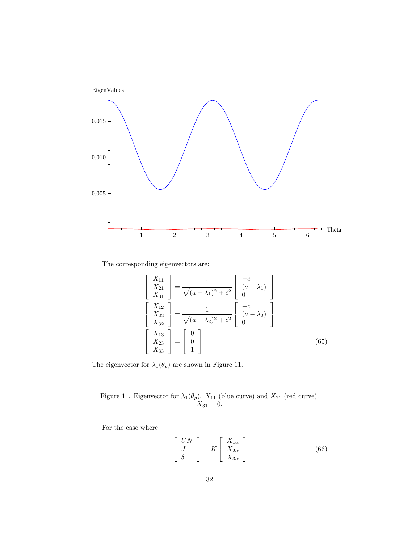

The corresponding eigenvectors are:

 $\overline{a}$ 

$$
\begin{bmatrix}\nX_{11} \\
X_{21} \\
X_{31}\n\end{bmatrix} = \frac{1}{\sqrt{(a - \lambda_1)^2 + c^2}} \begin{bmatrix}\n-c \\
(a - \lambda_1) \\
0\n\end{bmatrix}
$$
\n
$$
\begin{bmatrix}\nX_{12} \\
X_{22} \\
X_{32}\n\end{bmatrix} = \frac{1}{\sqrt{(a - \lambda_2)^2 + c^2}} \begin{bmatrix}\n-c \\
(a - \lambda_2) \\
0\n\end{bmatrix}
$$
\n
$$
\begin{bmatrix}\nX_{13} \\
X_{23} \\
X_{33}\n\end{bmatrix} = \begin{bmatrix}\n0 \\
0 \\
1\n\end{bmatrix}
$$
\n(65)

The eigenvector for  $\lambda_1(\theta_p)$  are shown in Figure 11.

Figure 11. Eigenvector for  $\lambda_1(\theta_p)$ .  $X_{11}$  (blue curve) and  $X_{21}$  (red curve).  $X_{31} = 0.$ 

For the case where

$$
\begin{bmatrix}\nUN \\
J \\
\delta\n\end{bmatrix} = K \begin{bmatrix}\nX_{1\alpha} \\
X_{2\alpha} \\
X_{3\alpha}\n\end{bmatrix}
$$
\n(66)